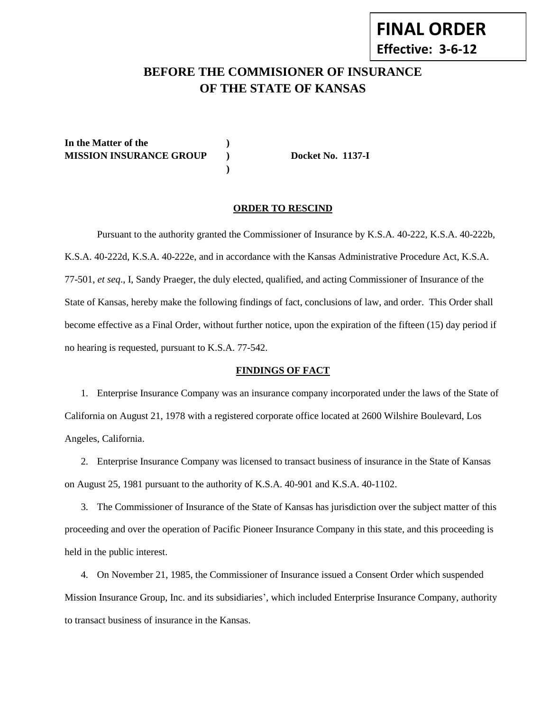# **BEFORE THE COMMISIONER OF INSURANCE OF THE STATE OF KANSAS**

**In the Matter of the ) MISSION INSURANCE GROUP ) Docket No. 1137-I**

#### **ORDER TO RESCIND**

**)**

Pursuant to the authority granted the Commissioner of Insurance by K.S.A. 40-222, K.S.A. 40-222b, K.S.A. 40-222d, K.S.A. 40-222e, and in accordance with the Kansas Administrative Procedure Act, K.S.A. 77-501, *et seq*., I, Sandy Praeger, the duly elected, qualified, and acting Commissioner of Insurance of the State of Kansas, hereby make the following findings of fact, conclusions of law, and order. This Order shall become effective as a Final Order, without further notice, upon the expiration of the fifteen (15) day period if no hearing is requested, pursuant to K.S.A. 77-542.

### **FINDINGS OF FACT**

1. Enterprise Insurance Company was an insurance company incorporated under the laws of the State of California on August 21, 1978 with a registered corporate office located at 2600 Wilshire Boulevard, Los Angeles, California.

2. Enterprise Insurance Company was licensed to transact business of insurance in the State of Kansas on August 25, 1981 pursuant to the authority of K.S.A. 40-901 and K.S.A. 40-1102.

3. The Commissioner of Insurance of the State of Kansas has jurisdiction over the subject matter of this proceeding and over the operation of Pacific Pioneer Insurance Company in this state, and this proceeding is held in the public interest.

4. On November 21, 1985, the Commissioner of Insurance issued a Consent Order which suspended Mission Insurance Group, Inc. and its subsidiaries', which included Enterprise Insurance Company, authority to transact business of insurance in the Kansas.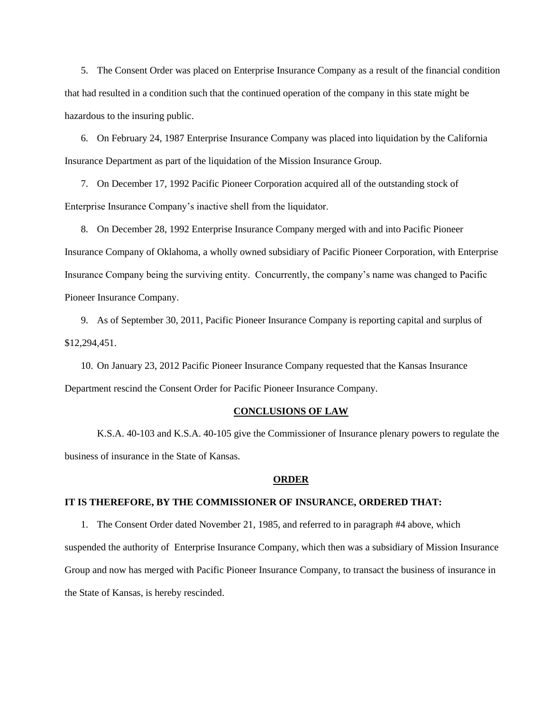5. The Consent Order was placed on Enterprise Insurance Company as a result of the financial condition that had resulted in a condition such that the continued operation of the company in this state might be hazardous to the insuring public.

6. On February 24, 1987 Enterprise Insurance Company was placed into liquidation by the California Insurance Department as part of the liquidation of the Mission Insurance Group.

7. On December 17, 1992 Pacific Pioneer Corporation acquired all of the outstanding stock of Enterprise Insurance Company's inactive shell from the liquidator.

8. On December 28, 1992 Enterprise Insurance Company merged with and into Pacific Pioneer Insurance Company of Oklahoma, a wholly owned subsidiary of Pacific Pioneer Corporation, with Enterprise Insurance Company being the surviving entity. Concurrently, the company's name was changed to Pacific Pioneer Insurance Company.

9. As of September 30, 2011, Pacific Pioneer Insurance Company is reporting capital and surplus of \$12,294,451.

10. On January 23, 2012 Pacific Pioneer Insurance Company requested that the Kansas Insurance Department rescind the Consent Order for Pacific Pioneer Insurance Company.

#### **CONCLUSIONS OF LAW**

K.S.A. 40-103 and K.S.A. 40-105 give the Commissioner of Insurance plenary powers to regulate the business of insurance in the State of Kansas.

#### **ORDER**

## **IT IS THEREFORE, BY THE COMMISSIONER OF INSURANCE, ORDERED THAT:**

1. The Consent Order dated November 21, 1985, and referred to in paragraph #4 above, which suspended the authority of Enterprise Insurance Company, which then was a subsidiary of Mission Insurance Group and now has merged with Pacific Pioneer Insurance Company, to transact the business of insurance in the State of Kansas, is hereby rescinded.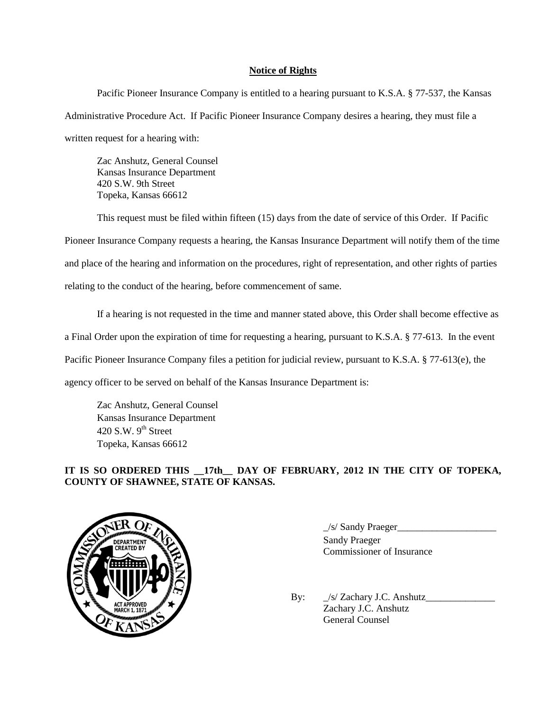## **Notice of Rights**

Pacific Pioneer Insurance Company is entitled to a hearing pursuant to K.S.A. § 77-537, the Kansas Administrative Procedure Act. If Pacific Pioneer Insurance Company desires a hearing, they must file a written request for a hearing with:

Zac Anshutz, General Counsel Kansas Insurance Department 420 S.W. 9th Street Topeka, Kansas 66612

This request must be filed within fifteen (15) days from the date of service of this Order. If Pacific Pioneer Insurance Company requests a hearing, the Kansas Insurance Department will notify them of the time and place of the hearing and information on the procedures, right of representation, and other rights of parties relating to the conduct of the hearing, before commencement of same.

If a hearing is not requested in the time and manner stated above, this Order shall become effective as a Final Order upon the expiration of time for requesting a hearing, pursuant to K.S.A. § 77-613. In the event Pacific Pioneer Insurance Company files a petition for judicial review, pursuant to K.S.A. § 77-613(e), the agency officer to be served on behalf of the Kansas Insurance Department is:

Zac Anshutz, General Counsel Kansas Insurance Department 420 S.W.  $9<sup>th</sup>$  Street Topeka, Kansas 66612

# **IT IS SO ORDERED THIS \_\_17th\_\_ DAY OF FEBRUARY, 2012 IN THE CITY OF TOPEKA, COUNTY OF SHAWNEE, STATE OF KANSAS.**



\_/s/ Sandy Praeger\_\_\_\_\_\_\_\_\_\_\_\_\_\_\_\_\_\_\_\_ Sandy Praeger Commissioner of Insurance

By:  $\frac{1}{s}$  Zachary J.C. Anshutz Zachary J.C. Anshutz General Counsel